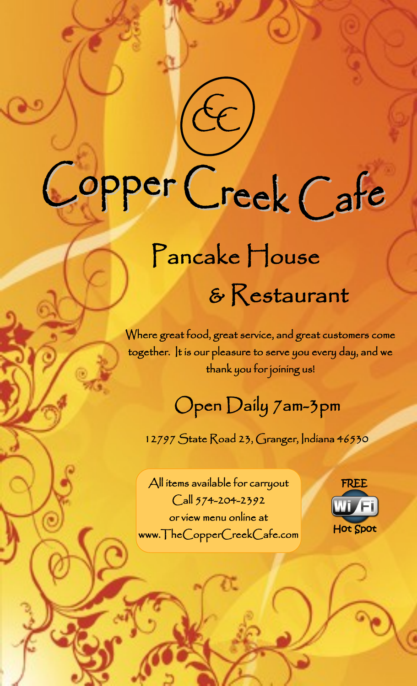# Copper Creek Cafe

 $c$ 

# Pancake House & Restaurant

Where great food, great service, and great customers come together. It is our pleasure to serve you every day, and we thank you for joining us!

# Open Daily 7am-3pm

12797 State Road 23, Granger, Indiana 46530

All items available for carryout Call 574-204-2392 or view menu online at www.TheCopperCreekCafe.com

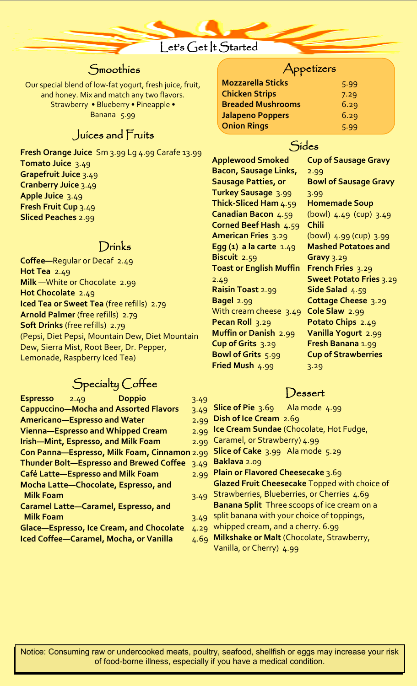# Let's Get |t Started

# **Smoothies**

Our special blend of low-fat yogurt, fresh juice, fruit, and honey. Mix and match any two flavors. Strawberry • Blueberry • Pineapple • Banana 5.99

# Juices and Fruits

**Fresh Orange Juice** Sm 3.99 Lg 4.99 Carafe 13.99 **Tomato Juice** 3.49 **Grapefruit Juice** 3.49 **Cranberry Juice** 3.49 **Apple Juice** 3.49 **Fresh Fruit Cup** 3.49 **Sliced Peaches** 2.99

# Drinks

**Coffee—**Regular or Decaf 2.49 **Hot Tea** 2.49 **Milk** —White or Chocolate 2.99 **Hot Chocolate** 2.49 **Iced Tea or Sweet Tea** (free refills) 2.79 **Arnold Palmer** (free refills) 2.79 **Soft Drinks** (free refills) 2.79 (Pepsi, Diet Pepsi, Mountain Dew, Diet Mountain Dew, Sierra Mist, Root Beer, Dr. Pepper, Lemonade, Raspberry Iced Tea)

# Specialty Coffee

| <b>Espresso</b><br><b>Doppio</b><br>2.49        | 3.49 |
|-------------------------------------------------|------|
|                                                 |      |
| <b>Cappuccino-Mocha and Assorted Flavors</b>    | 3.49 |
| <b>Americano-Espresso and Water</b>             | 2.99 |
| <b>Vienna-Espresso and Whipped Cream</b>        | 2.99 |
| <b>Irish-Mint, Espresso, and Milk Foam</b>      | 2.99 |
| Con Panna-Espresso, Milk Foam, Cinnamon 2.99    |      |
| <b>Thunder Bolt-Espresso and Brewed Coffee</b>  | 3.49 |
| <b>Café Latte-Espresso and Milk Foam</b>        | 2.99 |
| Mocha Latte-Chocolate, Espresso, and            |      |
| <b>Milk Foam</b>                                | 3.49 |
| Caramel Latte-Caramel, Espresso, and            |      |
| <b>Milk Foam</b>                                | 3.49 |
| <b>Glace-Espresso, Ice Cream, and Chocolate</b> | 4.29 |
| <b>Iced Coffee-Caramel, Mocha, or Vanilla</b>   | 4.69 |

### Appetizers

| <b>Mozzarella Sticks</b> | 5.99 |
|--------------------------|------|
| <b>Chicken Strips</b>    | 7.29 |
| <b>Breaded Mushrooms</b> | 6.29 |
| <b>Jalapeno Poppers</b>  | 6.29 |
| <b>Onion Rings</b>       | 5.99 |

# Sides

**Applewood Smoked Bacon, Sausage Links, Sausage Patties, or Turkey Sausage** 3.99 **Thick-Sliced Ham** 4.59 **Canadian Bacon** 4.59 **Corned Beef Hash** 4.59 **American Fries** 3.29 **Egg (1) a la carte** 1.49 **Biscuit** 2.59 **Toast or English Muffin**  2.49 **Raisin Toast** 2.99 **Bagel** 2.99 With cream cheese 3.49 **Pecan Roll** 3.29 **Muffin or Danish** 2.99 **Cup of Grits** 3.29 **Bowl of Grits** 5.99 **Fried Mush** 4.99

**Cup of Sausage Gravy**  2.99 **Bowl of Sausage Gravy** 3.99 **Homemade Soup**  (bowl) 4.49 (cup) 3.49 **Chili** (bowl) 4.99 (cup) 3.99 **Mashed Potatoes and Gravy** 3.29 **French Fries** 3.29 **Sweet Potato Fries** 3.29 **Side Salad** 4.59 **Cottage Cheese** 3.29 **Cole Slaw** 2.99 **Potato Chips** 2.49 **Vanilla Yogurt** 2.99 **Fresh Banana** 1.99 **Cup of Strawberries**  3.29

# Dessert

- **Slice of Pie** 3.69 Ala mode 4.99 **Dish of Ice Cream** 2.69 **Ice Cream Sundae** (Chocolate, Hot Fudge,
- 99 Caramel, or Strawberry) 4.99
- 
- **Slice of Cake** 3.99 Ala mode 5.29
- **Baklava** 2.09
- **Plain or Flavored Cheesecake** 3.69 **Glazed Fruit Cheesecake** Topped with choice of
- <sub>49</sub> Strawberries, Blueberries, or Cherries 4.69 **Banana Split** Three scoops of ice cream on a
- <sub>s</sub> split banana with your choice of toppings,
- 29 whipped cream, and a cherry. 6.99
	- **Milkshake or Malt** (Chocolate, Strawberry, Vanilla, or Cherry) 4.99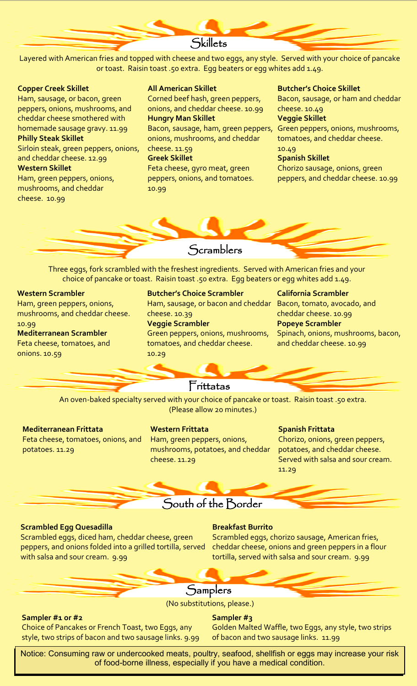# **Skillets**

Layered with American fries and topped with cheese and two eggs, any style. Served with your choice of pancake or toast. Raisin toast .50 extra. Egg beaters or egg whites add 1.49.

#### **Copper Creek Skillet**

Ham, sausage, or bacon, green peppers, onions, mushrooms, and cheddar cheese smothered with homemade sausage gravy. 11.99 **Philly Steak Skillet**

Sirloin steak, green peppers, onions, and cheddar cheese. 12.99 **Western Skillet**

Ham, green peppers, onions, mushrooms, and cheddar cheese. 10.99

#### **All American Skillet**

Corned beef hash, green peppers, onions, and cheddar cheese. 10.99 **Hungry Man Skillet** Bacon, sausage, ham, green peppers, onions, mushrooms, and cheddar cheese. 11.59 **Greek Skillet** Feta cheese, gyro meat, green peppers, onions, and tomatoes. 10.99

#### **Butcher's Choice Skillet**

Bacon, sausage, or ham and cheddar cheese. 10.49 **Veggie Skillet** Green peppers, onions, mushrooms, tomatoes, and cheddar cheese. 10.49 **Spanish Skillet**

Chorizo sausage, onions, green peppers, and cheddar cheese. 10.99

# **Scramblers**

Three eggs, fork scrambled with the freshest ingredients. Served with American fries and your choice of pancake or toast. Raisin toast .50 extra. Egg beaters or egg whites add 1.49.

#### **Western Scrambler**

Ham, green peppers, onions, mushrooms, and cheddar cheese. 10.99

**Mediterranean Scrambler** Feta cheese, tomatoes, and onions. 10.59

#### **Butcher's Choice Scrambler**

Ham, sausage, or bacon and cheddar cheese. 10.39

#### **Veggie Scrambler**

Green peppers, onions, mushrooms, tomatoes, and cheddar cheese. 10.29

#### **California Scrambler**

Bacon, tomato, avocado, and cheddar cheese. 10.99 **Popeye Scrambler** Spinach, onions, mushrooms, bacon, and cheddar cheese. 10.99

# Frittatas

An oven-baked specialty served with your choice of pancake or toast. Raisin toast .50 extra. (Please allow 20 minutes.)

#### **Mediterranean Frittata**

Feta cheese, tomatoes, onions, and potatoes. 11.29

#### **Western Frittata**

Ham, green peppers, onions, mushrooms, potatoes, and cheddar cheese. 11.29

#### **Spanish Frittata**

Chorizo, onions, green peppers, potatoes, and cheddar cheese. Served with salsa and sour cream. 11.29

# South of the Border

#### **Scrambled Egg Quesadilla**

Scrambled eggs, diced ham, cheddar cheese, green peppers, and onions folded into a grilled tortilla, served with salsa and sour cream. 9.99

#### **Breakfast Burrito**

Scrambled eggs, chorizo sausage, American fries, cheddar cheese, onions and green peppers in a flour tortilla, served with salsa and sour cream. 9.99

# **Samplers**

(No substitutions, please.)

#### **Sampler #1 or #2**

#### **Sampler #3**

Choice of Pancakes or French Toast, two Eggs, any style, two strips of bacon and two sausage links. 9.99 Golden Malted Waffle, two Eggs, any style, two strips of bacon and two sausage links.11.99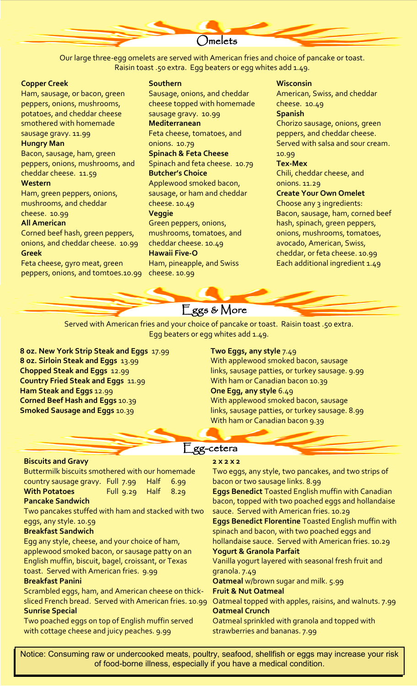Omelets

Our large three-egg omelets are served with American fries and choice of pancake or toast. Raisin toast .50 extra. Egg beaters or egg whites add 1.49.

#### **Copper Creek**

Ham, sausage, or bacon, green peppers, onions, mushrooms, potatoes, and cheddar cheese smothered with homemade sausage gravy. 11.99 **Hungry Man** Bacon, sausage, ham, green

peppers, onions, mushrooms, and cheddar cheese. 11.59

#### **Western**

Ham, green peppers, onions, mushrooms, and cheddar cheese. 10.99

#### **All American**

Corned beef hash, green peppers, onions, and cheddar cheese. 10.99 **Greek**

Feta cheese, gyro meat, green peppers, onions, and tomtoes.10.99

#### **Southern**

Sausage, onions, and cheddar cheese topped with homemade sausage gravy. 10.99 **Mediterranean** Feta cheese, tomatoes, and onions. 10.79 **Spinach & Feta Cheese** Spinach and feta cheese. 10.79 **Butcher's Choice** Applewood smoked bacon, sausage, or ham and cheddar cheese. 10.49 **Veggie** Green peppers, onions, mushrooms, tomatoes, and cheddar cheese. 10.49 **Hawaii Five-O** Ham, pineapple, and Swiss cheese. 10.99

#### **Wisconsin**

American, Swiss, and cheddar cheese. 10.49 **Spanish** Chorizo sausage, onions, green peppers, and cheddar cheese. Served with salsa and sour cream. 10.99

#### **Tex-Mex**

Chili, cheddar cheese, and onions. 11.29

#### **Create Your Own Omelet**

Choose any 3 ingredients: Bacon, sausage, ham, corned beef hash, spinach, green peppers, onions, mushrooms, tomatoes, avocado, American, Swiss, cheddar, or feta cheese. 10.99 Each additional ingredient 1.49

# Eggs & More

Served with American fries and your choice of pancake or toast. Raisin toast .50 extra. Egg beaters or egg whites add 1.49.

**8 oz. New York Strip Steak and Eggs** 17.99 **8 oz. Sirloin Steak and Eggs** 13.99 **Chopped Steak and Eggs** 12.99 **Country Fried Steak and Eggs** 11.99 **Ham Steak and Eggs** 12.99 **Corned Beef Hash and Eggs** 10.39 **Smoked Sausage and Eggs** 10.39

#### **Two Eggs, any style** 7.49

With applewood smoked bacon, sausage links, sausage patties, or turkey sausage. 9.99 With ham or Canadian bacon 10.39 **One Egg, any style** 6.49 With applewood smoked bacon, sausage links, sausage patties, or turkey sausage. 8.99 With ham or Canadian bacon 9.39

#### Egg-cetera

#### **Biscuits and Gravy**

Buttermilk biscuits smothered with our homemade country sausage gravy. Full 7.99 Half 6.99 **With Potatoes** Full 9.29 Half 8.29

#### **Pancake Sandwich**

Two pancakes stuffed with ham and stacked with two eggs, any style. 10.59

#### **Breakfast Sandwich**

Egg any style, cheese, and your choice of ham, applewood smoked bacon, or sausage patty on an English muffin, biscuit, bagel, croissant, or Texas

#### toast. Served with American fries. 9.99

#### **Breakfast Panini**

Scrambled eggs, ham, and American cheese on thicksliced French bread. Served with American fries. 10.99 Oatmeal topped with apples, raisins, and walnuts. 7.99 **Sunrise Special**

Two poached eggs on top of English muffin served with cottage cheese and juicy peaches. 9.99

#### **2 x 2 x 2**

Two eggs, any style, two pancakes, and two strips of bacon or two sausage links. 8.99 **Eggs Benedict** Toasted English muffin with Canadian bacon, topped with two poached eggs and hollandaise sauce. Served with American fries. 10.29 **Eggs Benedict Florentine** Toasted English muffin with spinach and bacon, with two poached eggs and hollandaise sauce. Served with American fries. 10.29 **Yogurt & Granola Parfait** Vanilla yogurt layered with seasonal fresh fruit and granola. 7.49 **Oatmeal** w/brown sugar and milk. 5.99 **Fruit & Nut Oatmeal Oatmeal Crunch** Oatmeal sprinkled with granola and topped with strawberries and bananas. 7.99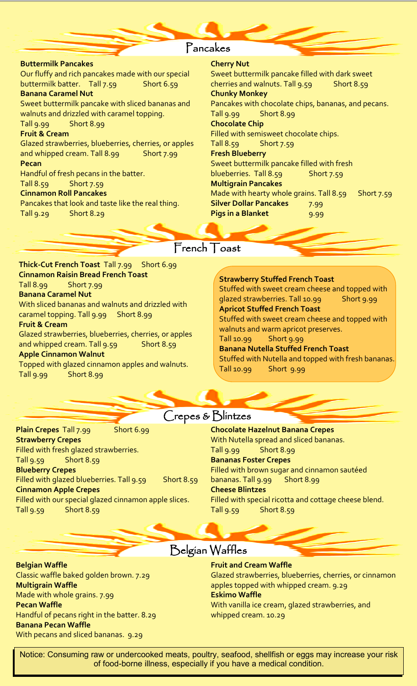# Pancakes

#### **Buttermilk Pancakes** Our fluffy and rich pancakes made with our special buttermilk batter. Tall 7.59 Short 6.59 **Banana Caramel Nut** Sweet buttermilk pancake with sliced bananas and walnuts and drizzled with caramel topping. Tall 9.99 Short 8.99 **Fruit & Cream**  Glazed strawberries, blueberries, cherries, or apples and whipped cream. Tall 8.99 Short 7.99 **Pecan** Handful of fresh pecans in the batter. Tall 8.59 Short 7.59 **Cinnamon Roll Pancakes** Pancakes that look and taste like the real thing. Tall 9.29 Short 8.29

#### **Cherry Nut**

Sweet buttermilk pancake filled with dark sweet cherries and walnuts. Tall 9.59 Short 8.59 **Chunky Monkey** Pancakes with chocolate chips, bananas, and pecans. Tall 9.99 Short 8.99 **Chocolate Chip** Filled with semisweet chocolate chips. Tall 8.59 Short 7.59 **Fresh Blueberry** Sweet buttermilk pancake filled with fresh blueberries. Tall 8.59 Short 7.59 **Multigrain Pancakes** Made with hearty whole grains. Tall  $8.59$  Short 7.59 **Silver Dollar Pancakes** 7.99 **Pigs in a Blanket** 9.99

French Toast

**Thick-Cut French Toast** Tall 7.99 Short 6.99 **Cinnamon Raisin Bread French Toast** Short 7.99 **Banana Caramel Nut** With sliced bananas and walnuts and drizzled with caramel topping. Tall 9.99 Short 8.99 **Fruit & Cream**

Glazed strawberries, blueberries, cherries, or apples and whipped cream. Tall 9.59 Short 8.59 **Apple Cinnamon Walnut**

Topped with glazed cinnamon apples and walnuts. Tall 9.99 Short 8.99

#### **Strawberry Stuffed French Toast** Stuffed with sweet cream cheese and topped with glazed strawberries. Tall 10.99 Short 9.99 **Apricot Stuffed French Toast** Stuffed with sweet cream cheese and topped with walnuts and warm apricot preserves. Tall 10.99 Short 9.99 **Banana Nutella Stuffed French Toast** Stuffed with Nutella and topped with fresh bananas.

Tall 10.99 Short 9.99

Crepes & Blintzes

**Plain Crepes** Tall 7.99 Short 6.99 **Strawberry Crepes** Filled with fresh glazed strawberries. Tall 9.59 Short 8.59 **Blueberry Crepes** Filled with glazed blueberries. Tall 9.59 Short 8.59 **Cinnamon Apple Crepes** Filled with our special glazed cinnamon apple slices. Tall 9.59 Short 8.59

#### **Chocolate Hazelnut Banana Crepes**  With Nutella spread and sliced bananas. Tall 9.99 Short 8.99 **Bananas Foster Crepes** Filled with brown sugar and cinnamon sautéed bananas. Tall 9.99 Short 8.99 **Cheese Blintzes** Filled with special ricotta and cottage cheese blend. Tall 9.59 Short 8.59

**Belgian Waffle** Classic waffle baked golden brown. 7.29 **Multigrain Waffle** Made with whole grains. 7.99 **Pecan Waffle** Handful of pecans right in the batter. 8.29 **Banana Pecan Waffle**  With pecans and sliced bananas. 9.29

# Belgian Waffles

#### **Fruit and Cream Waffle**

Glazed strawberries, blueberries, cherries, or cinnamon apples topped with whipped cream. 9.29 **Eskimo Waffle** With vanilla ice cream, glazed strawberries, and whipped cream. 10.29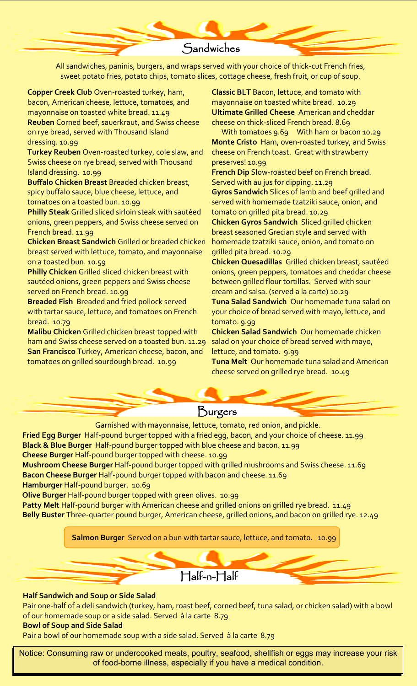# **Sandwiches**

All sandwiches, paninis, burgers, and wraps served with your choice of thick-cut French fries, sweet potato fries, potato chips, tomato slices, cottage cheese, fresh fruit, or cup of soup.

**Copper Creek Club** Oven-roasted turkey, ham, bacon, American cheese, lettuce, tomatoes, and mayonnaise on toasted white bread. 11.49 **Reuben** Corned beef, sauerkraut, and Swiss cheese on rye bread, served with Thousand Island dressing. 10.99

**Turkey Reuben** Oven-roasted turkey, cole slaw, and Swiss cheese on rye bread, served with Thousand Island dressing. 10.99

**Buffalo Chicken Breast** Breaded chicken breast, spicy buffalo sauce, blue cheese, lettuce, and tomatoes on a toasted bun. 10.99

**Philly Steak** Grilled sliced sirloin steak with sautéed onions, green peppers, and Swiss cheese served on French bread. 11.99

**Chicken Breast Sandwich** Grilled or breaded chicken breast served with lettuce, tomato, and mayonnaise on a toasted bun. 10.59

**Philly Chicken** Grilled sliced chicken breast with sautéed onions, green peppers and Swiss cheese served on French bread. 10.99

**Breaded Fish** Breaded and fried pollock served with tartar sauce, lettuce, and tomatoes on French bread. 10.79

**Malibu Chicken** Grilled chicken breast topped with ham and Swiss cheese served on a toasted bun. 11.29 **San Francisco** Turkey, American cheese, bacon, and tomatoes on grilled sourdough bread. 10.99

**Classic BLT** Bacon, lettuce, and tomato with mayonnaise on toasted white bread. 10.29 **Ultimate Grilled Cheese** American and cheddar cheese on thick-sliced French bread. 8.69

 With tomatoes 9.69 With ham or bacon 10.29 **Monte Cristo** Ham, oven-roasted turkey, and Swiss cheese on French toast. Great with strawberry preserves! 10.99

**French Dip** Slow-roasted beef on French bread. Served with au jus for dipping. 11.29

**Gyros Sandwich** Slices of lamb and beef grilled and served with homemade tzatziki sauce, onion, and tomato on grilled pita bread. 10.29

**Chicken Gyros Sandwich** Sliced grilled chicken breast seasoned Grecian style and served with homemade tzatziki sauce, onion, and tomato on grilled pita bread. 10.29

**Chicken Quesadillas** Grilled chicken breast, sautéed onions, green peppers, tomatoes and cheddar cheese between grilled flour tortillas. Served with sour cream and salsa. (served a la carte) 10.29

**Tuna Salad Sandwich** Our homemade tuna salad on your choice of bread served with mayo, lettuce, and tomato. 9.99

**Chicken Salad Sandwich** Our homemade chicken salad on your choice of bread served with mayo, lettuce, and tomato. 9.99

**Tuna Melt** Our homemade tuna salad and American cheese served on grilled rye bread. 10.49



Garnished with mayonnaise, lettuce, tomato, red onion, and pickle.

**Fried Egg Burger** Half-pound burger topped with a fried egg, bacon, and your choice of cheese. 11.99 **Black & Blue Burger** Half-pound burger topped with blue cheese and bacon. 11.99 **Cheese Burger** Half-pound burger topped with cheese. 10.99

**Mushroom Cheese Burger** Half-pound burger topped with grilled mushrooms and Swiss cheese. 11.69 **Bacon Cheese Burger** Half-pound burger topped with bacon and cheese. 11.69

**Hamburger** Half-pound burger. 10.69

**Olive Burger** Half-pound burger topped with green olives. 10.99

**Patty Melt** Half-pound burger with American cheese and grilled onions on grilled rye bread. 11.49

**Belly Buster** Three-quarter pound burger, American cheese, grilled onions, and bacon on grilled rye. 12.49

**Salmon Burger** Served on a bun with tartar sauce, lettuce, and tomato. 10.99

Half-n-Half

#### **Half Sandwich and Soup or Side Salad**

Pair one-half of a deli sandwich (turkey, ham, roast beef, corned beef, tuna salad, or chicken salad) with a bowl of our homemade soup or a side salad. Served à la carte 8.79

#### **Bowl of Soup and Side Salad**

Pair a bowl of our homemade soup with a side salad. Served à la carte 8.79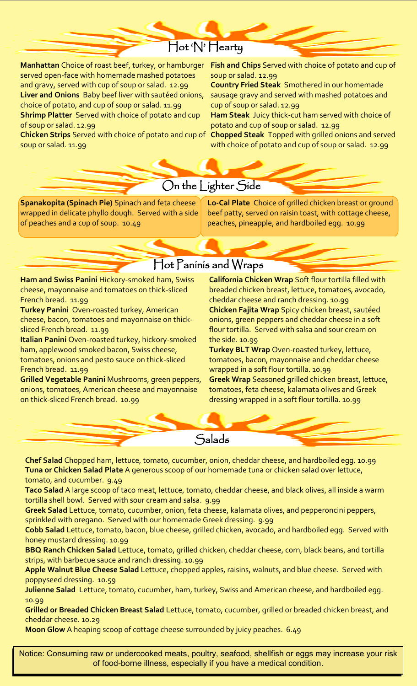# Hot 'N' Hearty

**Manhattan** Choice of roast beef, turkey, or hamburger **Fish and Chips** Served with choice of potato and cup of served open-face with homemade mashed potatoes and gravy, served with cup of soup or salad. 12.99 **Liver and Onions** Baby beef liver with sautéed onions, choice of potato, and cup of soup or salad. 11.99 **Shrimp Platter** Served with choice of potato and cup of soup or salad. 12.99

**Chicken Strips** Served with choice of potato and cup of soup or salad. 11.99

soup or salad. 12.99

**Country Fried Steak** Smothered in our homemade sausage gravy and served with mashed potatoes and cup of soup or salad. 12.99

**Ham Steak** Juicy thick-cut ham served with choice of potato and cup of soup or salad. 12.99

**Chopped Steak** Topped with grilled onions and served with choice of potato and cup of soup or salad. 12.99

# On the Lighter Side

**Spanakopita (Spinach Pie)** Spinach and feta cheese wrapped in delicate phyllo dough. Served with a side of peaches and a cup of soup. 10.49

**Lo-Cal Plate** Choice of grilled chicken breast or ground beef patty, served on raisin toast, with cottage cheese, peaches, pineapple, and hardboiled egg. 10.99

# Hot Paninis and Wraps

**Ham and Swiss Panini** Hickory-smoked ham, Swiss cheese, mayonnaise and tomatoes on thick-sliced French bread. 11.99

**Turkey Panini** Oven-roasted turkey, American cheese, bacon, tomatoes and mayonnaise on thicksliced French bread. 11.99

**Italian Panini** Oven-roasted turkey, hickory-smoked ham, applewood smoked bacon, Swiss cheese, tomatoes, onions and pesto sauce on thick-sliced French bread. 11.99

**Grilled Vegetable Panini** Mushrooms, green peppers, onions, tomatoes, American cheese and mayonnaise on thick-sliced French bread. 10.99

**California Chicken Wrap** Soft flour tortilla filled with breaded chicken breast, lettuce, tomatoes, avocado, cheddar cheese and ranch dressing. 10.99 **Chicken Fajita Wrap** Spicy chicken breast, sautéed onions, green peppers and cheddar cheese in a soft flour tortilla. Served with salsa and sour cream on the side. 10.99

**Turkey BLT Wrap** Oven-roasted turkey, lettuce, tomatoes, bacon, mayonnaise and cheddar cheese wrapped in a soft flour tortilla. 10.99

**Greek Wrap** Seasoned grilled chicken breast, lettuce, tomatoes, feta cheese, kalamata olives and Greek dressing wrapped in a soft flour tortilla. 10.99

**Salads** 

**Chef Salad** Chopped ham, lettuce, tomato, cucumber, onion, cheddar cheese, and hardboiled egg. 10.99 **Tuna or Chicken Salad Plate** A generous scoop of our homemade tuna or chicken salad over lettuce, tomato, and cucumber. 9.49

**Taco Salad** A large scoop of taco meat, lettuce, tomato, cheddar cheese, and black olives, all inside a warm tortilla shell bowl. Served with sour cream and salsa. 9.99

**Greek Salad** Lettuce, tomato, cucumber, onion, feta cheese, kalamata olives, and pepperoncini peppers, sprinkled with oregano. Served with our homemade Greek dressing. 9.99

**Cobb Salad** Lettuce, tomato, bacon, blue cheese, grilled chicken, avocado, and hardboiled egg. Served with honey mustard dressing. 10.99

**BBQ Ranch Chicken Salad** Lettuce, tomato, grilled chicken, cheddar cheese, corn, black beans, and tortilla strips, with barbecue sauce and ranch dressing. 10.99

**Apple Walnut Blue Cheese Salad** Lettuce, chopped apples, raisins, walnuts, and blue cheese. Served with poppyseed dressing. 10.59

**Julienne Salad** Lettuce, tomato, cucumber, ham, turkey, Swiss and American cheese, and hardboiled egg. 10.99

**Grilled or Breaded Chicken Breast Salad** Lettuce, tomato, cucumber, grilled or breaded chicken breast, and cheddar cheese. 10.29

**Moon Glow** A heaping scoop of cottage cheese surrounded by juicy peaches. 6.49